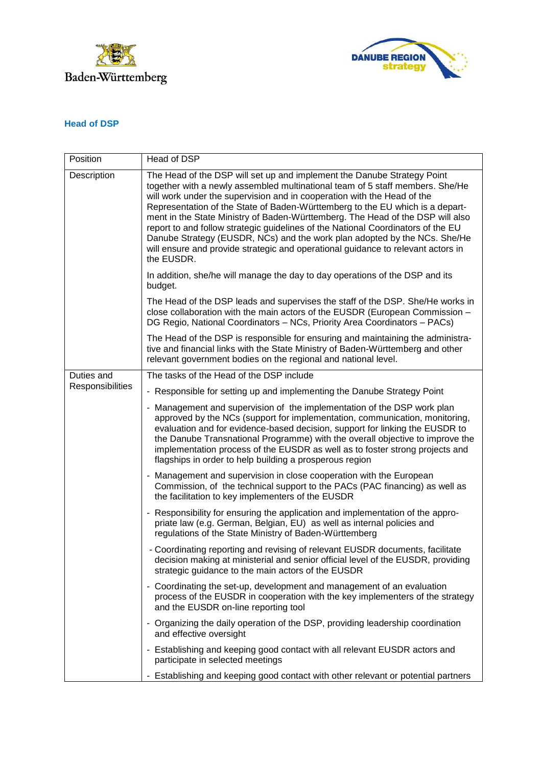



## **Head of DSP**

| Position                       | Head of DSP                                                                                                                                                                                                                                                                                                                                                                                                                                                                                                                                                                                                                                                               |
|--------------------------------|---------------------------------------------------------------------------------------------------------------------------------------------------------------------------------------------------------------------------------------------------------------------------------------------------------------------------------------------------------------------------------------------------------------------------------------------------------------------------------------------------------------------------------------------------------------------------------------------------------------------------------------------------------------------------|
| Description                    | The Head of the DSP will set up and implement the Danube Strategy Point<br>together with a newly assembled multinational team of 5 staff members. She/He<br>will work under the supervision and in cooperation with the Head of the<br>Representation of the State of Baden-Württemberg to the EU which is a depart-<br>ment in the State Ministry of Baden-Württemberg. The Head of the DSP will also<br>report to and follow strategic guidelines of the National Coordinators of the EU<br>Danube Strategy (EUSDR, NCs) and the work plan adopted by the NCs. She/He<br>will ensure and provide strategic and operational guidance to relevant actors in<br>the EUSDR. |
|                                | In addition, she/he will manage the day to day operations of the DSP and its<br>budget.                                                                                                                                                                                                                                                                                                                                                                                                                                                                                                                                                                                   |
|                                | The Head of the DSP leads and supervises the staff of the DSP. She/He works in<br>close collaboration with the main actors of the EUSDR (European Commission -<br>DG Regio, National Coordinators - NCs, Priority Area Coordinators - PACs)                                                                                                                                                                                                                                                                                                                                                                                                                               |
|                                | The Head of the DSP is responsible for ensuring and maintaining the administra-<br>tive and financial links with the State Ministry of Baden-Württemberg and other<br>relevant government bodies on the regional and national level.                                                                                                                                                                                                                                                                                                                                                                                                                                      |
| Duties and<br>Responsibilities | The tasks of the Head of the DSP include                                                                                                                                                                                                                                                                                                                                                                                                                                                                                                                                                                                                                                  |
|                                | - Responsible for setting up and implementing the Danube Strategy Point                                                                                                                                                                                                                                                                                                                                                                                                                                                                                                                                                                                                   |
|                                | - Management and supervision of the implementation of the DSP work plan<br>approved by the NCs (support for implementation, communication, monitoring,<br>evaluation and for evidence-based decision, support for linking the EUSDR to<br>the Danube Transnational Programme) with the overall objective to improve the<br>implementation process of the EUSDR as well as to foster strong projects and<br>flagships in order to help building a prosperous region                                                                                                                                                                                                        |
|                                | - Management and supervision in close cooperation with the European<br>Commission, of the technical support to the PACs (PAC financing) as well as<br>the facilitation to key implementers of the EUSDR                                                                                                                                                                                                                                                                                                                                                                                                                                                                   |
|                                | - Responsibility for ensuring the application and implementation of the appro-<br>priate law (e.g. German, Belgian, EU) as well as internal policies and<br>regulations of the State Ministry of Baden-Württemberg                                                                                                                                                                                                                                                                                                                                                                                                                                                        |
|                                | - Coordinating reporting and revising of relevant EUSDR documents, facilitate<br>decision making at ministerial and senior official level of the EUSDR, providing<br>strategic guidance to the main actors of the EUSDR                                                                                                                                                                                                                                                                                                                                                                                                                                                   |
|                                | - Coordinating the set-up, development and management of an evaluation<br>process of the EUSDR in cooperation with the key implementers of the strategy<br>and the EUSDR on-line reporting tool                                                                                                                                                                                                                                                                                                                                                                                                                                                                           |
|                                | - Organizing the daily operation of the DSP, providing leadership coordination<br>and effective oversight                                                                                                                                                                                                                                                                                                                                                                                                                                                                                                                                                                 |
|                                | - Establishing and keeping good contact with all relevant EUSDR actors and<br>participate in selected meetings                                                                                                                                                                                                                                                                                                                                                                                                                                                                                                                                                            |
|                                | - Establishing and keeping good contact with other relevant or potential partners                                                                                                                                                                                                                                                                                                                                                                                                                                                                                                                                                                                         |